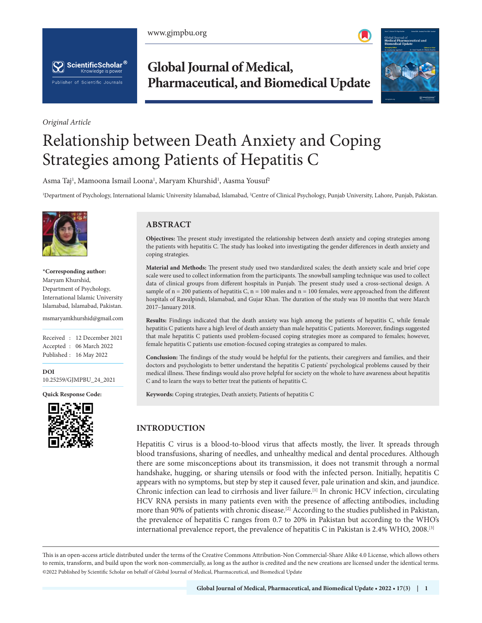www.gjmpbu.org





*Original Article*

**Global Journal of Medical, Pharmaceutical, and Biomedical Update**



# Relationship between Death Anxiety and Coping Strategies among Patients of Hepatitis C

Asma Taj<sup>1</sup>, Mamoona Ismail Loona<sup>1</sup>, Maryam Khurshid<sup>1</sup>, Aasma Yousuf<sup>2</sup>

1 Department of Psychology, International Islamic University Islamabad, Islamabad, 2 Centre of Clinical Psychology, Punjab University, Lahore, Punjab, Pakistan.



**\*Corresponding author:** Maryam Khurshid, Department of Psychology, International Islamic University Islamabad, Islamabad, Pakistan.

msmaryamkhurshid@gmail.com

Received : 12 December 2021 Accepted : 06 March 2022 Published : 16 May 2022

**DOI** [10.25259/GJMPBU\\_24\\_2021](https://dx.doi.org/10.25259/GJMPBU_24_2021)

**Quick Response Code:**



# **ABSTRACT**

**Objectives:** The present study investigated the relationship between death anxiety and coping strategies among the patients with hepatitis C. The study has looked into investigating the gender differences in death anxiety and coping strategies.

**Material and Methods:** The present study used two standardized scales; the death anxiety scale and brief cope scale were used to collect information from the participants. The snowball sampling technique was used to collect data of clinical groups from different hospitals in Punjab. The present study used a cross-sectional design. A sample of  $n = 200$  patients of hepatitis C,  $n = 100$  males and  $n = 100$  females, were approached from the different hospitals of Rawalpindi, Islamabad, and Gujar Khan. The duration of the study was 10 months that were March 2017–January 2018.

**Results:** Findings indicated that the death anxiety was high among the patients of hepatitis C, while female hepatitis C patients have a high level of death anxiety than male hepatitis C patients. Moreover, findings suggested that male hepatitis C patients used problem-focused coping strategies more as compared to females; however, female hepatitis C patients use emotion-focused coping strategies as compared to males.

**Conclusion:** The findings of the study would be helpful for the patients, their caregivers and families, and their doctors and psychologists to better understand the hepatitis C patients' psychological problems caused by their medical illness. These findings would also prove helpful for society on the whole to have awareness about hepatitis C and to learn the ways to better treat the patients of hepatitis C.

**Keywords:** Coping strategies, Death anxiety, Patients of hepatitis C

# **INTRODUCTION**

Hepatitis C virus is a blood-to-blood virus that affects mostly, the liver. It spreads through blood transfusions, sharing of needles, and unhealthy medical and dental procedures. Although there are some misconceptions about its transmission, it does not transmit through a normal handshake, hugging, or sharing utensils or food with the infected person. Initially, hepatitis C appears with no symptoms, but step by step it caused fever, pale urination and skin, and jaundice. Chronic infection can lead to cirrhosis and liver failure.[1] In chronic HCV infection, circulating HCV RNA persists in many patients even with the presence of affecting antibodies, including more than 90% of patients with chronic disease.<sup>[2]</sup> According to the studies published in Pakistan, the prevalence of hepatitis C ranges from 0.7 to 20% in Pakistan but according to the WHO's international prevalence report, the prevalence of hepatitis C in Pakistan is 2.4% WHO, 2008.[3]

is is an open-access article distributed under the terms of the Creative Commons Attribution-Non Commercial-Share Alike 4.0 License, which allows others to remix, transform, and build upon the work non-commercially, as long as the author is credited and the new creations are licensed under the identical terms. ©2022 Published by Scientific Scholar on behalf of Global Journal of Medical, Pharmaceutical, and Biomedical Update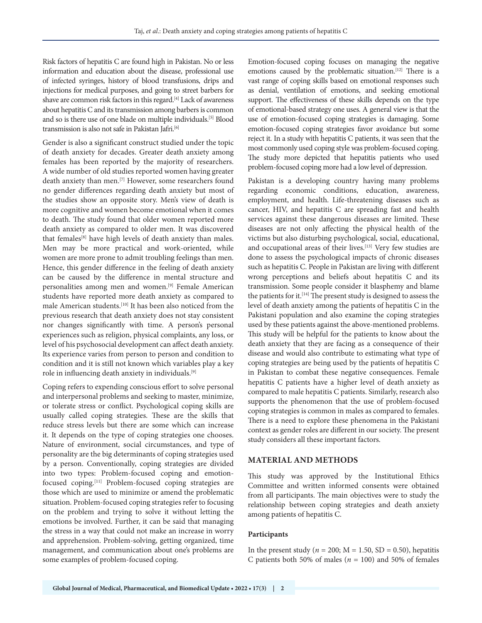Risk factors of hepatitis C are found high in Pakistan. No or less information and education about the disease, professional use of infected syringes, history of blood transfusions, drips and injections for medical purposes, and going to street barbers for shave are common risk factors in this regard.[4] Lack of awareness about hepatitis C and its transmission among barbers is common and so is there use of one blade on multiple individuals.[5] Blood transmission is also not safe in Pakistan Jafri.<sup>[6]</sup>

Gender is also a significant construct studied under the topic of death anxiety for decades. Greater death anxiety among females has been reported by the majority of researchers. A wide number of old studies reported women having greater death anxiety than men.<sup>[7]</sup> However, some researchers found no gender differences regarding death anxiety but most of the studies show an opposite story. Men's view of death is more cognitive and women become emotional when it comes to death. The study found that older women reported more death anxiety as compared to older men. It was discovered that females<sup>[8]</sup> have high levels of death anxiety than males. Men may be more practical and work-oriented, while women are more prone to admit troubling feelings than men. Hence, this gender difference in the feeling of death anxiety can be caused by the difference in mental structure and personalities among men and women.[9] Female American students have reported more death anxiety as compared to male American students.[10] It has been also noticed from the previous research that death anxiety does not stay consistent nor changes significantly with time. A person's personal experiences such as religion, physical complaints, any loss, or level of his psychosocial development can affect death anxiety. Its experience varies from person to person and condition to condition and it is still not known which variables play a key role in influencing death anxiety in individuals.[9]

Coping refers to expending conscious effort to solve personal and interpersonal problems and seeking to master, minimize, or tolerate stress or conflict. Psychological coping skills are usually called coping strategies. These are the skills that reduce stress levels but there are some which can increase it. It depends on the type of coping strategies one chooses. Nature of environment, social circumstances, and type of personality are the big determinants of coping strategies used by a person. Conventionally, coping strategies are divided into two types: Problem-focused coping and emotionfocused coping.[11] Problem-focused coping strategies are those which are used to minimize or amend the problematic situation. Problem-focused coping strategies refer to focusing on the problem and trying to solve it without letting the emotions be involved. Further, it can be said that managing the stress in a way that could not make an increase in worry and apprehension. Problem-solving, getting organized, time management, and communication about one's problems are some examples of problem-focused coping.

Emotion-focused coping focuses on managing the negative emotions caused by the problematic situation.<sup>[12]</sup> There is a vast range of coping skills based on emotional responses such as denial, ventilation of emotions, and seeking emotional support. The effectiveness of these skills depends on the type of emotional-based strategy one uses. A general view is that the use of emotion-focused coping strategies is damaging. Some emotion-focused coping strategies favor avoidance but some reject it. In a study with hepatitis C patients, it was seen that the most commonly used coping style was problem-focused coping. The study more depicted that hepatitis patients who used problem-focused coping more had a low level of depression.

Pakistan is a developing country having many problems regarding economic conditions, education, awareness, employment, and health. Life-threatening diseases such as cancer, HIV, and hepatitis C are spreading fast and health services against these dangerous diseases are limited. These diseases are not only affecting the physical health of the victims but also disturbing psychological, social, educational, and occupational areas of their lives.<sup>[13]</sup> Very few studies are done to assess the psychological impacts of chronic diseases such as hepatitis C. People in Pakistan are living with different wrong perceptions and beliefs about hepatitis C and its transmission. Some people consider it blasphemy and blame the patients for it.<sup>[14]</sup> The present study is designed to assess the level of death anxiety among the patients of hepatitis C in the Pakistani population and also examine the coping strategies used by these patients against the above-mentioned problems. This study will be helpful for the patients to know about the death anxiety that they are facing as a consequence of their disease and would also contribute to estimating what type of coping strategies are being used by the patients of hepatitis C in Pakistan to combat these negative consequences. Female hepatitis C patients have a higher level of death anxiety as compared to male hepatitis C patients. Similarly, research also supports the phenomenon that the use of problem-focused coping strategies is common in males as compared to females. There is a need to explore these phenomena in the Pakistani context as gender roles are different in our society. The present study considers all these important factors.

# **MATERIAL AND METHODS**

This study was approved by the Institutional Ethics Committee and written informed consents were obtained from all participants. The main objectives were to study the relationship between coping strategies and death anxiety among patients of hepatitis C.

#### **Participants**

In the present study ( $n = 200$ ; M = 1.50, SD = 0.50), hepatitis C patients both 50% of males ( $n = 100$ ) and 50% of females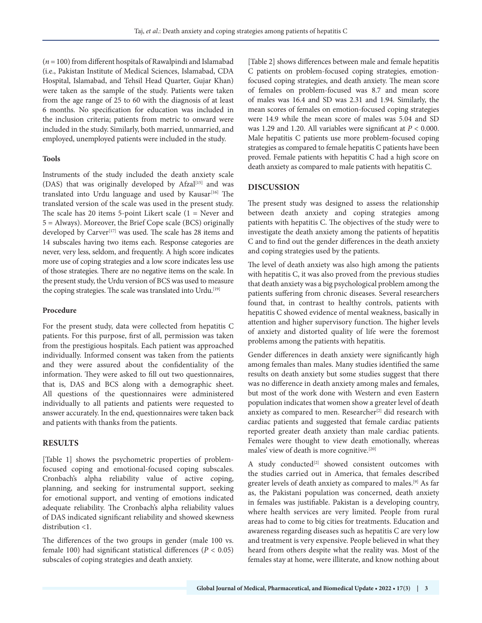(*n* = 100) from different hospitals of Rawalpindi and Islamabad (i.e., Pakistan Institute of Medical Sciences, Islamabad, CDA Hospital, Islamabad, and Tehsil Head Quarter, Gujar Khan) were taken as the sample of the study. Patients were taken from the age range of 25 to 60 with the diagnosis of at least 6 months. No specification for education was included in the inclusion criteria; patients from metric to onward were included in the study. Similarly, both married, unmarried, and employed, unemployed patients were included in the study.

#### **Tools**

Instruments of the study included the death anxiety scale (DAS) that was originally developed by Afzal<sup>[15]</sup> and was translated into Urdu language and used by Kausar<sup>[16]</sup> The translated version of the scale was used in the present study. The scale has 20 items 5-point Likert scale  $(1 =$  Never and 5 = Always). Moreover, the Brief Cope scale (BCS) originally developed by Carver<sup>[17]</sup> was used. The scale has 28 items and 14 subscales having two items each. Response categories are never, very less, seldom, and frequently. A high score indicates more use of coping strategies and a low score indicates less use of those strategies. There are no negative items on the scale. In the present study, the Urdu version of BCS was used to measure the coping strategies. The scale was translated into Urdu.<sup>[19]</sup>

#### **Procedure**

For the present study, data were collected from hepatitis C patients. For this purpose, first of all, permission was taken from the prestigious hospitals. Each patient was approached individually. Informed consent was taken from the patients and they were assured about the confidentiality of the information. They were asked to fill out two questionnaires, that is, DAS and BCS along with a demographic sheet. All questions of the questionnaires were administered individually to all patients and patients were requested to answer accurately. In the end, questionnaires were taken back and patients with thanks from the patients.

# **RESULTS**

[Table 1] shows the psychometric properties of problemfocused coping and emotional-focused coping subscales. Cronbach's alpha reliability value of active coping, planning, and seeking for instrumental support, seeking for emotional support, and venting of emotions indicated adequate reliability. The Cronbach's alpha reliability values of DAS indicated significant reliability and showed skewness distribution <1.

The differences of the two groups in gender (male 100 vs. female 100) had significant statistical differences (*P* < 0.05) subscales of coping strategies and death anxiety.

[Table 2] shows differences between male and female hepatitis C patients on problem-focused coping strategies, emotionfocused coping strategies, and death anxiety. The mean score of females on problem-focused was 8.7 and mean score of males was 16.4 and SD was 2.31 and 1.94. Similarly, the mean scores of females on emotion-focused coping strategies were 14.9 while the mean score of males was 5.04 and SD was 1.29 and 1.20. All variables were significant at *P* < 0.000. Male hepatitis C patients use more problem-focused coping strategies as compared to female hepatitis C patients have been proved. Female patients with hepatitis C had a high score on death anxiety as compared to male patients with hepatitis C.

# **DISCUSSION**

The present study was designed to assess the relationship between death anxiety and coping strategies among patients with hepatitis C. The objectives of the study were to investigate the death anxiety among the patients of hepatitis C and to find out the gender differences in the death anxiety and coping strategies used by the patients.

The level of death anxiety was also high among the patients with hepatitis C, it was also proved from the previous studies that death anxiety was a big psychological problem among the patients suffering from chronic diseases. Several researchers found that, in contrast to healthy controls, patients with hepatitis C showed evidence of mental weakness, basically in attention and higher supervisory function. The higher levels of anxiety and distorted quality of life were the foremost problems among the patients with hepatitis.

Gender differences in death anxiety were significantly high among females than males. Many studies identified the same results on death anxiety but some studies suggest that there was no difference in death anxiety among males and females, but most of the work done with Western and even Eastern population indicates that women show a greater level of death anxiety as compared to men. Researcher<sup>[2]</sup> did research with cardiac patients and suggested that female cardiac patients reported greater death anxiety than male cardiac patients. Females were thought to view death emotionally, whereas males' view of death is more cognitive.[20]

A study conducted<sup>[2]</sup> showed consistent outcomes with the studies carried out in America, that females described greater levels of death anxiety as compared to males.[9] As far as, the Pakistani population was concerned, death anxiety in females was justifiable. Pakistan is a developing country, where health services are very limited. People from rural areas had to come to big cities for treatments. Education and awareness regarding diseases such as hepatitis C are very low and treatment is very expensive. People believed in what they heard from others despite what the reality was. Most of the females stay at home, were illiterate, and know nothing about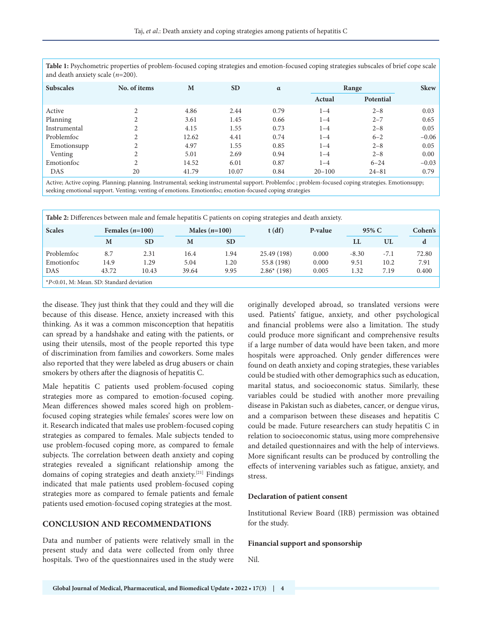| and death anxiety searc $(n=200)$ . |               |       |           |          |            |           |             |  |
|-------------------------------------|---------------|-------|-----------|----------|------------|-----------|-------------|--|
| <b>Subscales</b>                    | No. of items  | M     | <b>SD</b> | $\alpha$ | Range      |           | <b>Skew</b> |  |
|                                     |               |       |           |          | Actual     | Potential |             |  |
| Active                              | $\sim$        | 4.86  | 2.44      | 0.79     | $1 - 4$    | $2 - 8$   | 0.03        |  |
| Planning                            | ◠             | 3.61  | 1.45      | 0.66     | $1 - 4$    | $2 - 7$   | 0.65        |  |
| Instrumental                        |               | 4.15  | 1.55      | 0.73     | $1 - 4$    | $2 - 8$   | 0.05        |  |
| Problemfoc                          | $\mathcal{L}$ | 12.62 | 4.41      | 0.74     | $1 - 4$    | $6 - 2$   | $-0.06$     |  |
| Emotionsupp                         | $\bigcap$     | 4.97  | 1.55      | 0.85     | $1 - 4$    | $2 - 8$   | 0.05        |  |
| Venting                             |               | 5.01  | 2.69      | 0.94     | $1 - 4$    | $2 - 8$   | 0.00        |  |
| Emotionfoc                          |               | 14.52 | 6.01      | 0.87     | $1 - 4$    | $6 - 24$  | $-0.03$     |  |
| DAS                                 | 20            | 41.79 | 10.07     | 0.84     | $20 - 100$ | $24 - 81$ | 0.79        |  |

**Table 1:** Psychometric properties of problem-focused coping strategies and emotion-focused coping strategies subscales of brief cope scale and death anxiety scale (*n*=200).

Active; Active coping. Planning; planning. Instrumental; seeking instrumental support. Problemfoc ; problem-focused coping strategies. Emotionsupp; seeking emotional support. Venting; venting of emotions. Emotionfoc; emotion-focused coping strategies

| Table 2: Differences between male and female hepatitis C patients on coping strategies and death anxiety. |       |                   |       |                 |              |         |         |        |       |  |  |  |
|-----------------------------------------------------------------------------------------------------------|-------|-------------------|-------|-----------------|--------------|---------|---------|--------|-------|--|--|--|
| <b>Scales</b>                                                                                             |       | Females $(n=100)$ |       | Males $(n=100)$ | t(df)        | P-value |         | 95% C  |       |  |  |  |
|                                                                                                           | M     | <b>SD</b>         | M     | <b>SD</b>       |              |         | LL      | UL     | d     |  |  |  |
| Problemfoc                                                                                                | 8.7   | 2.31              | 16.4  | 1.94            | 25.49 (198)  | 0.000   | $-8.30$ | $-7.1$ | 72.80 |  |  |  |
| Emotionfoc                                                                                                | 14.9  | 1.29              | 5.04  | 1.20            | 55.8 (198)   | 0.000   | 9.51    | 10.2   | 7.91  |  |  |  |
| DAS                                                                                                       | 43.72 | 10.43             | 39.64 | 9.95            | $2.86*(198)$ | 0.005   | .32     | 7.19   | 0.400 |  |  |  |
| *P<0.01, M: Mean. SD: Standard deviation                                                                  |       |                   |       |                 |              |         |         |        |       |  |  |  |

the disease. They just think that they could and they will die because of this disease. Hence, anxiety increased with this thinking. As it was a common misconception that hepatitis can spread by a handshake and eating with the patients, or using their utensils, most of the people reported this type of discrimination from families and coworkers. Some males also reported that they were labeled as drug abusers or chain smokers by others after the diagnosis of hepatitis C.

Male hepatitis C patients used problem-focused coping strategies more as compared to emotion-focused coping. Mean differences showed males scored high on problemfocused coping strategies while females' scores were low on it. Research indicated that males use problem-focused coping strategies as compared to females. Male subjects tended to use problem-focused coping more, as compared to female subjects. The correlation between death anxiety and coping strategies revealed a significant relationship among the domains of coping strategies and death anxiety.[21] Findings indicated that male patients used problem-focused coping strategies more as compared to female patients and female patients used emotion-focused coping strategies at the most.

# **CONCLUSION AND RECOMMENDATIONS**

Data and number of patients were relatively small in the present study and data were collected from only three hospitals. Two of the questionnaires used in the study were originally developed abroad, so translated versions were used. Patients' fatigue, anxiety, and other psychological and financial problems were also a limitation. The study could produce more significant and comprehensive results if a large number of data would have been taken, and more hospitals were approached. Only gender differences were found on death anxiety and coping strategies, these variables could be studied with other demographics such as education, marital status, and socioeconomic status. Similarly, these variables could be studied with another more prevailing disease in Pakistan such as diabetes, cancer, or dengue virus, and a comparison between these diseases and hepatitis C could be made. Future researchers can study hepatitis C in relation to socioeconomic status, using more comprehensive and detailed questionnaires and with the help of interviews. More significant results can be produced by controlling the effects of intervening variables such as fatigue, anxiety, and stress.

#### **Declaration of patient consent**

Institutional Review Board (IRB) permission was obtained for the study.

#### **Financial support and sponsorship**

Nil.